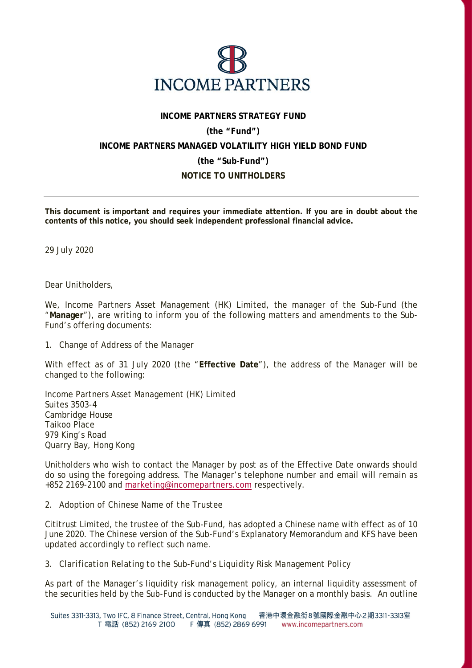

### **INCOME PARTNERS STRATEGY FUND**

# **(the "Fund")**

# **INCOME PARTNERS MANAGED VOLATILITY HIGH YIELD BOND FUND**

#### **(the "Sub-Fund")**

# **NOTICE TO UNITHOLDERS**

**This document is important and requires your immediate attention. If you are in doubt about the contents of this notice, you should seek independent professional financial advice.** 

29 July 2020

Dear Unitholders,

We, Income Partners Asset Management (HK) Limited, the manager of the Sub-Fund (the "**Manager**"), are writing to inform you of the following matters and amendments to the Sub-Fund's offering documents:

#### *1. Change of Address of the Manager*

With effect as of 31 July 2020 (the "**Effective Date**"), the address of the Manager will be changed to the following:

Income Partners Asset Management (HK) Limited Suites 3503-4 Cambridge House Taikoo Place 979 King's Road Quarry Bay, Hong Kong

Unitholders who wish to contact the Manager by post as of the Effective Date onwards should do so using the foregoing address. The Manager's telephone number and email will remain as +852 2169-2100 and marketing@incomepartners.com respectively.

#### *2. Adoption of Chinese Name of the Trustee*

Cititrust Limited, the trustee of the Sub-Fund, has adopted a Chinese name with effect as of 10 June 2020. The Chinese version of the Sub-Fund's Explanatory Memorandum and KFS have been updated accordingly to reflect such name.

# *3. Clarification Relating to the Sub-Fund's Liquidity Risk Management Policy*

As part of the Manager's liquidity risk management policy, an internal liquidity assessment of the securities held by the Sub-Fund is conducted by the Manager on a monthly basis. An outline